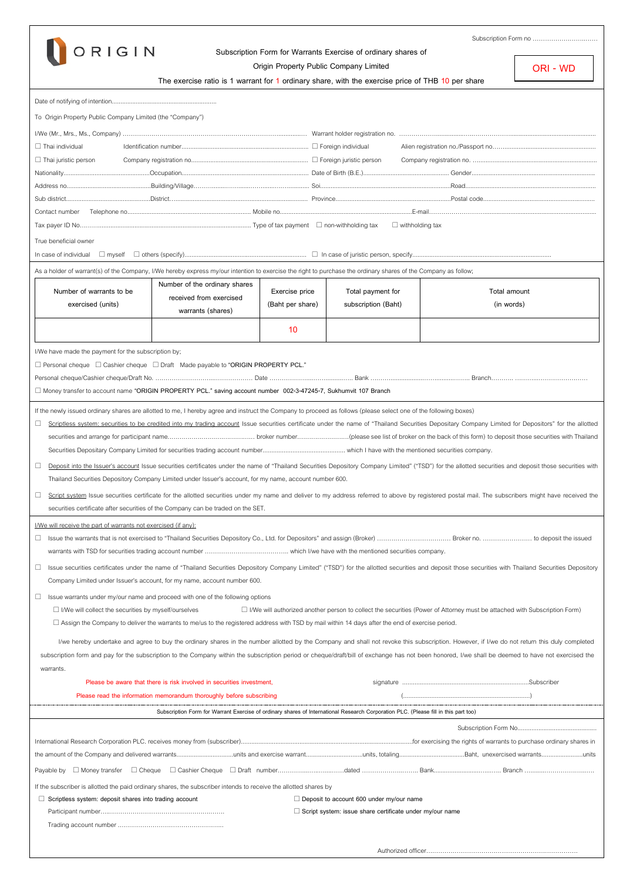

## **Subscription Form for Warrants Exercise of ordinary shares of**

Subscription Form no ……………………..……

**ORI - WD**

**Origin Property Public Company Limited**

|                                                                                                                                                                                                               | The exercise ratio is 1 warrant for 1 ordinary share, with the exercise price of THB 10 per share                                   |                  |                     |                                                                                                                                                                                                      |  |  |
|---------------------------------------------------------------------------------------------------------------------------------------------------------------------------------------------------------------|-------------------------------------------------------------------------------------------------------------------------------------|------------------|---------------------|------------------------------------------------------------------------------------------------------------------------------------------------------------------------------------------------------|--|--|
|                                                                                                                                                                                                               |                                                                                                                                     |                  |                     |                                                                                                                                                                                                      |  |  |
| To Origin Property Public Company Limited (the "Company")                                                                                                                                                     |                                                                                                                                     |                  |                     |                                                                                                                                                                                                      |  |  |
|                                                                                                                                                                                                               |                                                                                                                                     |                  |                     |                                                                                                                                                                                                      |  |  |
| $\Box$ Thai individual                                                                                                                                                                                        |                                                                                                                                     |                  |                     |                                                                                                                                                                                                      |  |  |
| $\Box$ Thai juristic person                                                                                                                                                                                   |                                                                                                                                     |                  |                     |                                                                                                                                                                                                      |  |  |
|                                                                                                                                                                                                               |                                                                                                                                     |                  |                     |                                                                                                                                                                                                      |  |  |
|                                                                                                                                                                                                               |                                                                                                                                     |                  |                     |                                                                                                                                                                                                      |  |  |
|                                                                                                                                                                                                               |                                                                                                                                     |                  |                     |                                                                                                                                                                                                      |  |  |
|                                                                                                                                                                                                               |                                                                                                                                     |                  |                     |                                                                                                                                                                                                      |  |  |
|                                                                                                                                                                                                               |                                                                                                                                     |                  |                     |                                                                                                                                                                                                      |  |  |
|                                                                                                                                                                                                               |                                                                                                                                     |                  |                     |                                                                                                                                                                                                      |  |  |
| True beneficial owner<br>In case of individual                                                                                                                                                                |                                                                                                                                     |                  |                     |                                                                                                                                                                                                      |  |  |
|                                                                                                                                                                                                               |                                                                                                                                     |                  |                     |                                                                                                                                                                                                      |  |  |
| As a holder of warrant(s) of the Company, I/We hereby express my/our intention to exercise the right to purchase the ordinary shares of the Company as follow;                                                |                                                                                                                                     |                  |                     |                                                                                                                                                                                                      |  |  |
| Number of warrants to be                                                                                                                                                                                      | Number of the ordinary shares<br>received from exercised                                                                            | Exercise price   | Total payment for   | Total amount                                                                                                                                                                                         |  |  |
| exercised (units)                                                                                                                                                                                             | warrants (shares)                                                                                                                   | (Baht per share) | subscription (Baht) | (in words)                                                                                                                                                                                           |  |  |
|                                                                                                                                                                                                               |                                                                                                                                     |                  |                     |                                                                                                                                                                                                      |  |  |
|                                                                                                                                                                                                               |                                                                                                                                     | 10               |                     |                                                                                                                                                                                                      |  |  |
| I/We have made the payment for the subscription by;                                                                                                                                                           |                                                                                                                                     |                  |                     |                                                                                                                                                                                                      |  |  |
| $\Box$ Personal cheque $\Box$ Cashier cheque $\Box$ Draft Made payable to "ORIGIN PROPERTY PCL."                                                                                                              |                                                                                                                                     |                  |                     |                                                                                                                                                                                                      |  |  |
|                                                                                                                                                                                                               |                                                                                                                                     |                  |                     |                                                                                                                                                                                                      |  |  |
| □ Money transfer to account name "ORIGIN PROPERTY PCL." saving account number 002-3-47245-7, Sukhumvit 107 Branch                                                                                             |                                                                                                                                     |                  |                     |                                                                                                                                                                                                      |  |  |
|                                                                                                                                                                                                               |                                                                                                                                     |                  |                     |                                                                                                                                                                                                      |  |  |
| If the newly issued ordinary shares are allotted to me, I hereby agree and instruct the Company to proceed as follows (please select one of the following boxes)                                              |                                                                                                                                     |                  |                     |                                                                                                                                                                                                      |  |  |
| ш                                                                                                                                                                                                             |                                                                                                                                     |                  |                     | Scriptless system: securities to be credited into my trading account Issue securities certificate under the name of "Thailand Securities Depositary Company Limited for Depositors" for the allotted |  |  |
|                                                                                                                                                                                                               |                                                                                                                                     |                  |                     |                                                                                                                                                                                                      |  |  |
|                                                                                                                                                                                                               |                                                                                                                                     |                  |                     |                                                                                                                                                                                                      |  |  |
| Deposit into the Issuer's account Issue securities certificates under the name of "Thailand Securities Depository Company Limited" ("TSD") for the allotted securities and deposit those securities with<br>□ |                                                                                                                                     |                  |                     |                                                                                                                                                                                                      |  |  |
|                                                                                                                                                                                                               | Thailand Securities Depository Company Limited under Issuer's account, for my name, account number 600.                             |                  |                     |                                                                                                                                                                                                      |  |  |
| Script system Issue securities certificate for the allotted securities under my name and deliver to my address referred to above by registered postal mail. The subscribers might have received the<br>□      |                                                                                                                                     |                  |                     |                                                                                                                                                                                                      |  |  |
| securities certificate after securities of the Company can be traded on the SET.                                                                                                                              |                                                                                                                                     |                  |                     |                                                                                                                                                                                                      |  |  |
| I/We will receive the part of warrants not exercised (if any):                                                                                                                                                |                                                                                                                                     |                  |                     |                                                                                                                                                                                                      |  |  |
|                                                                                                                                                                                                               |                                                                                                                                     |                  |                     |                                                                                                                                                                                                      |  |  |
|                                                                                                                                                                                                               |                                                                                                                                     |                  |                     |                                                                                                                                                                                                      |  |  |
| Issue securities certificates under the name of "Thailand Securities Depository Company Limited" ("TSD") for the allotted securities and deposit those securities with Thailand Securities Depository<br>ш    |                                                                                                                                     |                  |                     |                                                                                                                                                                                                      |  |  |
| Company Limited under Issuer's account, for my name, account number 600.                                                                                                                                      |                                                                                                                                     |                  |                     |                                                                                                                                                                                                      |  |  |
| □<br>Issue warrants under my/our name and proceed with one of the following options                                                                                                                           |                                                                                                                                     |                  |                     |                                                                                                                                                                                                      |  |  |
| $\Box$ I/We will collect the securities by myself/ourselves                                                                                                                                                   |                                                                                                                                     |                  |                     | $\Box$ I/We will authorized another person to collect the securities (Power of Attorney must be attached with Subscription Form)                                                                     |  |  |
|                                                                                                                                                                                                               |                                                                                                                                     |                  |                     |                                                                                                                                                                                                      |  |  |
| $\Box$ Assign the Company to deliver the warrants to me/us to the registered address with TSD by mail within 14 days after the end of exercise period.                                                        |                                                                                                                                     |                  |                     |                                                                                                                                                                                                      |  |  |
|                                                                                                                                                                                                               |                                                                                                                                     |                  |                     | I/we hereby undertake and agree to buy the ordinary shares in the number allotted by the Company and shall not revoke this subscription. However, if I/we do not return this duly completed          |  |  |
| subscription form and pay for the subscription to the Company within the subscription period or cheque/draft/bill of exchange has not been honored, I/we shall be deemed to have not exercised the            |                                                                                                                                     |                  |                     |                                                                                                                                                                                                      |  |  |
| warrants.                                                                                                                                                                                                     |                                                                                                                                     |                  |                     |                                                                                                                                                                                                      |  |  |
|                                                                                                                                                                                                               | Please be aware that there is risk involved in securities investment,                                                               |                  |                     |                                                                                                                                                                                                      |  |  |
|                                                                                                                                                                                                               | Please read the information memorandum thoroughly before subscribing                                                                |                  |                     |                                                                                                                                                                                                      |  |  |
|                                                                                                                                                                                                               | Subscription Form for Warrant Exercise of ordinary shares of International Research Corporation PLC. (Please fill in this part too) |                  |                     |                                                                                                                                                                                                      |  |  |
|                                                                                                                                                                                                               |                                                                                                                                     |                  |                     |                                                                                                                                                                                                      |  |  |
|                                                                                                                                                                                                               |                                                                                                                                     |                  |                     |                                                                                                                                                                                                      |  |  |
|                                                                                                                                                                                                               |                                                                                                                                     |                  |                     |                                                                                                                                                                                                      |  |  |
|                                                                                                                                                                                                               |                                                                                                                                     |                  |                     |                                                                                                                                                                                                      |  |  |
| If the subscriber is allotted the paid ordinary shares, the subscriber intends to receive the allotted shares by                                                                                              |                                                                                                                                     |                  |                     |                                                                                                                                                                                                      |  |  |
| $\Box$ Scriptless system: deposit shares into trading account<br>$\Box$ Deposit to account 600 under my/our name                                                                                              |                                                                                                                                     |                  |                     |                                                                                                                                                                                                      |  |  |
| $\Box$ Script system: issue share certificate under my/our name                                                                                                                                               |                                                                                                                                     |                  |                     |                                                                                                                                                                                                      |  |  |
|                                                                                                                                                                                                               |                                                                                                                                     |                  |                     |                                                                                                                                                                                                      |  |  |
|                                                                                                                                                                                                               |                                                                                                                                     |                  |                     |                                                                                                                                                                                                      |  |  |
|                                                                                                                                                                                                               |                                                                                                                                     |                  |                     |                                                                                                                                                                                                      |  |  |